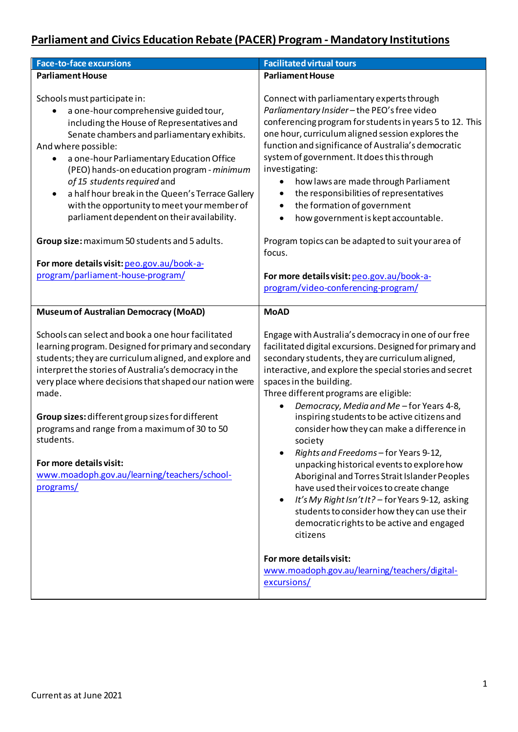## **Parliament and Civics Education Rebate (PACER) Program - Mandatory Institutions**

| <b>Face-to-face excursions</b>                                                                                                                                                                                                                                                                                                                                                                                                                                                                             | <b>Facilitated virtual tours</b>                                                                                                                                                                                                                                                                                                                                                                                                                                                                                                                                                                                                                                                                                                                                                                                                  |
|------------------------------------------------------------------------------------------------------------------------------------------------------------------------------------------------------------------------------------------------------------------------------------------------------------------------------------------------------------------------------------------------------------------------------------------------------------------------------------------------------------|-----------------------------------------------------------------------------------------------------------------------------------------------------------------------------------------------------------------------------------------------------------------------------------------------------------------------------------------------------------------------------------------------------------------------------------------------------------------------------------------------------------------------------------------------------------------------------------------------------------------------------------------------------------------------------------------------------------------------------------------------------------------------------------------------------------------------------------|
| <b>Parliament House</b>                                                                                                                                                                                                                                                                                                                                                                                                                                                                                    | <b>Parliament House</b>                                                                                                                                                                                                                                                                                                                                                                                                                                                                                                                                                                                                                                                                                                                                                                                                           |
| Schools must participate in:<br>a one-hour comprehensive guided tour,<br>including the House of Representatives and<br>Senate chambers and parliamentary exhibits.<br>And where possible:<br>a one-hour Parliamentary Education Office<br>٠<br>(PEO) hands-on education program - minimum<br>of 15 students required and<br>a half hour break in the Queen's Terrace Gallery<br>$\bullet$<br>with the opportunity to meet your member of<br>parliament dependent on their availability.                    | Connect with parliamentary experts through<br>Parliamentary Insider-the PEO's free video<br>conferencing program for students in years 5 to 12. This<br>one hour, curriculum aligned session explores the<br>function and significance of Australia's democratic<br>system of government. It does this through<br>investigating:<br>how laws are made through Parliament<br>٠<br>the responsibilities of representatives<br>the formation of government<br>$\bullet$<br>how government is kept accountable.                                                                                                                                                                                                                                                                                                                       |
| Group size: maximum 50 students and 5 adults.                                                                                                                                                                                                                                                                                                                                                                                                                                                              | Program topics can be adapted to suit your area of<br>focus.                                                                                                                                                                                                                                                                                                                                                                                                                                                                                                                                                                                                                                                                                                                                                                      |
| For more details visit: peo.gov.au/book-a-<br>program/parliament-house-program/                                                                                                                                                                                                                                                                                                                                                                                                                            | For more details visit: peo.gov.au/book-a-<br>program/video-conferencing-program/                                                                                                                                                                                                                                                                                                                                                                                                                                                                                                                                                                                                                                                                                                                                                 |
| <b>Museum of Australian Democracy (MoAD)</b>                                                                                                                                                                                                                                                                                                                                                                                                                                                               | <b>MoAD</b>                                                                                                                                                                                                                                                                                                                                                                                                                                                                                                                                                                                                                                                                                                                                                                                                                       |
| Schools can select and book a one hour facilitated<br>learning program. Designed for primary and secondary<br>students; they are curriculum aligned, and explore and<br>interpret the stories of Australia's democracy in the<br>very place where decisions that shaped our nation were<br>made.<br>Group sizes: different group sizes for different<br>programs and range from a maximum of 30 to 50<br>students.<br>For more details visit:<br>www.moadoph.gov.au/learning/teachers/school-<br>programs/ | Engage with Australia's democracy in one of our free<br>facilitated digital excursions. Designed for primary and<br>secondary students, they are curriculum aligned,<br>interactive, and explore the special stories and secret<br>spaces in the building.<br>Three different programs are eligible:<br>Democracy, Media and Me-for Years 4-8,<br>$\bullet$<br>inspiring students to be active citizens and<br>consider how they can make a difference in<br>society<br>Rights and Freedoms - for Years 9-12,<br>unpacking historical events to explore how<br>Aboriginal and Torres Strait Islander Peoples<br>have used their voices to create change<br>It's My Right Isn't It? - for Years 9-12, asking<br>$\bullet$<br>students to consider how they can use their<br>democratic rights to be active and engaged<br>citizens |
|                                                                                                                                                                                                                                                                                                                                                                                                                                                                                                            | For more details visit:<br>www.moadoph.gov.au/learning/teachers/digital-<br>excursions/                                                                                                                                                                                                                                                                                                                                                                                                                                                                                                                                                                                                                                                                                                                                           |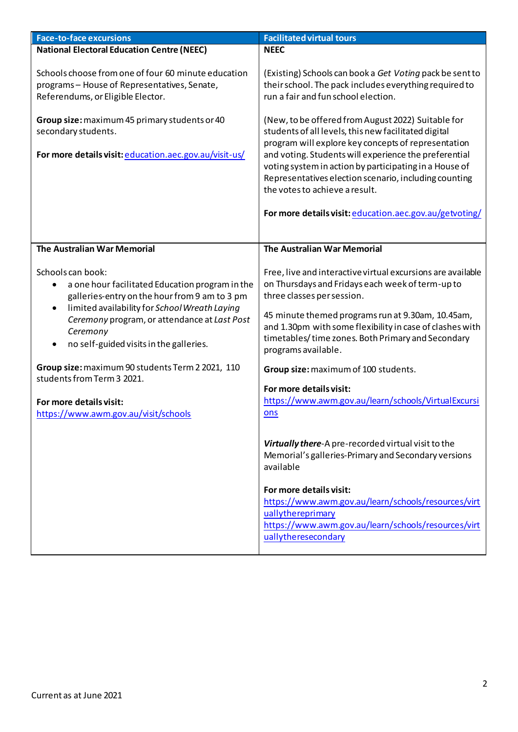| <b>National Electoral Education Centre (NEEC)</b><br><b>NEEC</b><br>Schools choose from one of four 60 minute education<br>programs - House of Representatives, Senate,<br>their school. The pack includes everything required to<br>run a fair and fun school election.<br>Referendums, or Eligible Elector.<br>(New, to be offered from August 2022) Suitable for<br>Group size: maximum 45 primary students or 40<br>students of all levels, this new facilitated digital<br>secondary students.<br>program will explore key concepts of representation<br>and voting. Students will experience the preferential<br>For more details visit: education.aec.gov.au/visit-us/<br>voting system in action by participating in a House of<br>Representatives election scenario, including counting<br>the votes to achieve a result.<br>The Australian War Memorial<br>The Australian War Memorial<br>Schools can book:<br>on Thursdays and Fridays each week of term-up to<br>a one hour facilitated Education program in the<br>three classes per session.<br>galleries-entry on the hour from 9 am to 3 pm<br>limited availability for School Wreath Laying<br>$\bullet$<br>45 minute themed programs run at 9.30am, 10.45am,<br>Ceremony program, or attendance at Last Post<br>Ceremony<br>timetables/time zones. Both Primary and Secondary<br>no self-guided visits in the galleries.<br>$\bullet$<br>programs available.<br>Group size: maximum 90 students Term 2 2021, 110<br>Group size: maximum of 100 students.<br>students from Term 3 2021.<br>For more details visit:<br>https://www.awm.gov.au/learn/schools/VirtualExcursi<br>For more details visit:<br>https://www.awm.gov.au/visit/schools<br>ons<br>Virtually there-A pre-recorded virtual visit to the<br>Memorial's galleries-Primary and Secondary versions<br>available<br>For more details visit: | <b>Face-to-face excursions</b> | <b>Facilitated virtual tours</b>                                                                                                                                                                    |
|----------------------------------------------------------------------------------------------------------------------------------------------------------------------------------------------------------------------------------------------------------------------------------------------------------------------------------------------------------------------------------------------------------------------------------------------------------------------------------------------------------------------------------------------------------------------------------------------------------------------------------------------------------------------------------------------------------------------------------------------------------------------------------------------------------------------------------------------------------------------------------------------------------------------------------------------------------------------------------------------------------------------------------------------------------------------------------------------------------------------------------------------------------------------------------------------------------------------------------------------------------------------------------------------------------------------------------------------------------------------------------------------------------------------------------------------------------------------------------------------------------------------------------------------------------------------------------------------------------------------------------------------------------------------------------------------------------------------------------------------------------------------------------------------------------------------------------------------------------------------------|--------------------------------|-----------------------------------------------------------------------------------------------------------------------------------------------------------------------------------------------------|
|                                                                                                                                                                                                                                                                                                                                                                                                                                                                                                                                                                                                                                                                                                                                                                                                                                                                                                                                                                                                                                                                                                                                                                                                                                                                                                                                                                                                                                                                                                                                                                                                                                                                                                                                                                                                                                                                            |                                |                                                                                                                                                                                                     |
|                                                                                                                                                                                                                                                                                                                                                                                                                                                                                                                                                                                                                                                                                                                                                                                                                                                                                                                                                                                                                                                                                                                                                                                                                                                                                                                                                                                                                                                                                                                                                                                                                                                                                                                                                                                                                                                                            |                                | (Existing) Schools can book a Get Voting pack be sent to                                                                                                                                            |
|                                                                                                                                                                                                                                                                                                                                                                                                                                                                                                                                                                                                                                                                                                                                                                                                                                                                                                                                                                                                                                                                                                                                                                                                                                                                                                                                                                                                                                                                                                                                                                                                                                                                                                                                                                                                                                                                            |                                | For more details visit: education.aec.gov.au/getvoting/                                                                                                                                             |
|                                                                                                                                                                                                                                                                                                                                                                                                                                                                                                                                                                                                                                                                                                                                                                                                                                                                                                                                                                                                                                                                                                                                                                                                                                                                                                                                                                                                                                                                                                                                                                                                                                                                                                                                                                                                                                                                            |                                |                                                                                                                                                                                                     |
|                                                                                                                                                                                                                                                                                                                                                                                                                                                                                                                                                                                                                                                                                                                                                                                                                                                                                                                                                                                                                                                                                                                                                                                                                                                                                                                                                                                                                                                                                                                                                                                                                                                                                                                                                                                                                                                                            |                                | Free, live and interactive virtual excursions are available<br>and 1.30pm with some flexibility in case of clashes with<br>https://www.awm.gov.au/learn/schools/resources/virt<br>uallythereprimary |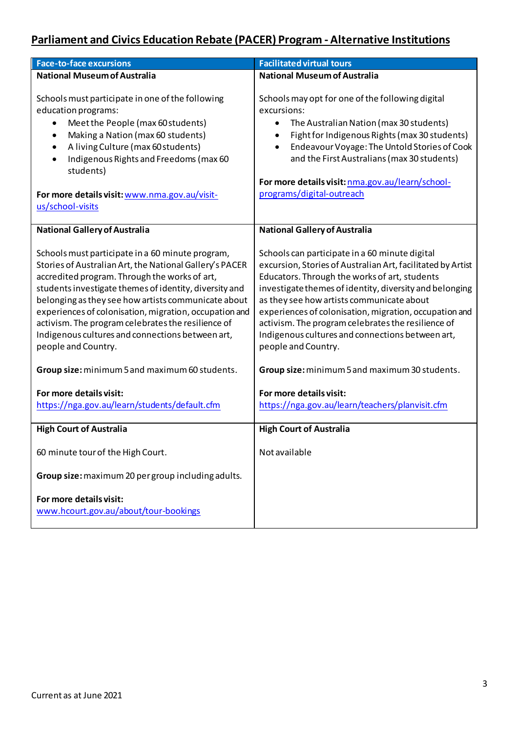## **Parliament and Civics Education Rebate (PACER) Program - Alternative Institutions**

| <b>Face-to-face excursions</b>                                                                                                                                                                                                                                                                                                                                                                                                                                                                                             | <b>Facilitated virtual tours</b>                                                                                                                                                                                                                                                                                                                                                                                                                                                                                    |
|----------------------------------------------------------------------------------------------------------------------------------------------------------------------------------------------------------------------------------------------------------------------------------------------------------------------------------------------------------------------------------------------------------------------------------------------------------------------------------------------------------------------------|---------------------------------------------------------------------------------------------------------------------------------------------------------------------------------------------------------------------------------------------------------------------------------------------------------------------------------------------------------------------------------------------------------------------------------------------------------------------------------------------------------------------|
| <b>National Museum of Australia</b>                                                                                                                                                                                                                                                                                                                                                                                                                                                                                        | <b>National Museum of Australia</b>                                                                                                                                                                                                                                                                                                                                                                                                                                                                                 |
| Schools must participate in one of the following<br>education programs:<br>Meet the People (max 60 students)<br>Making a Nation (max 60 students)<br>$\bullet$<br>A living Culture (max 60 students)<br>٠<br>Indigenous Rights and Freedoms (max 60<br>$\bullet$<br>students)<br>For more details visit: www.nma.gov.au/visit-<br>us/school-visits                                                                                                                                                                         | Schools may opt for one of the following digital<br>excursions:<br>The Australian Nation (max 30 students)<br>$\bullet$<br>Fight for Indigenous Rights (max 30 students)<br>$\bullet$<br>Endeavour Voyage: The Untold Stories of Cook<br>$\bullet$<br>and the First Australians (max 30 students)<br>For more details visit: nma.gov.au/learn/school-<br>programs/digital-outreach                                                                                                                                  |
| <b>National Gallery of Australia</b>                                                                                                                                                                                                                                                                                                                                                                                                                                                                                       | <b>National Gallery of Australia</b>                                                                                                                                                                                                                                                                                                                                                                                                                                                                                |
| Schools must participate in a 60 minute program,<br>Stories of Australian Art, the National Gallery's PACER<br>accredited program. Through the works of art,<br>students investigate themes of identity, diversity and<br>belonging as they see how artists communicate about<br>experiences of colonisation, migration, occupation and<br>activism. The program celebrates the resilience of<br>Indigenous cultures and connections between art,<br>people and Country.<br>Group size: minimum 5 and maximum 60 students. | Schools can participate in a 60 minute digital<br>excursion, Stories of Australian Art, facilitated by Artist<br>Educators. Through the works of art, students<br>investigate themes of identity, diversity and belonging<br>as they see how artists communicate about<br>experiences of colonisation, migration, occupation and<br>activism. The program celebrates the resilience of<br>Indigenous cultures and connections between art,<br>people and Country.<br>Group size: minimum 5 and maximum 30 students. |
| For more details visit:<br>https://nga.gov.au/learn/students/default.cfm                                                                                                                                                                                                                                                                                                                                                                                                                                                   | For more details visit:<br>https://nga.gov.au/learn/teachers/planvisit.cfm                                                                                                                                                                                                                                                                                                                                                                                                                                          |
| <b>High Court of Australia</b>                                                                                                                                                                                                                                                                                                                                                                                                                                                                                             | <b>High Court of Australia</b>                                                                                                                                                                                                                                                                                                                                                                                                                                                                                      |
| 60 minute tour of the High Court.                                                                                                                                                                                                                                                                                                                                                                                                                                                                                          | Not available                                                                                                                                                                                                                                                                                                                                                                                                                                                                                                       |
| Group size: maximum 20 per group including adults.                                                                                                                                                                                                                                                                                                                                                                                                                                                                         |                                                                                                                                                                                                                                                                                                                                                                                                                                                                                                                     |
| For more details visit:<br>www.hcourt.gov.au/about/tour-bookings                                                                                                                                                                                                                                                                                                                                                                                                                                                           |                                                                                                                                                                                                                                                                                                                                                                                                                                                                                                                     |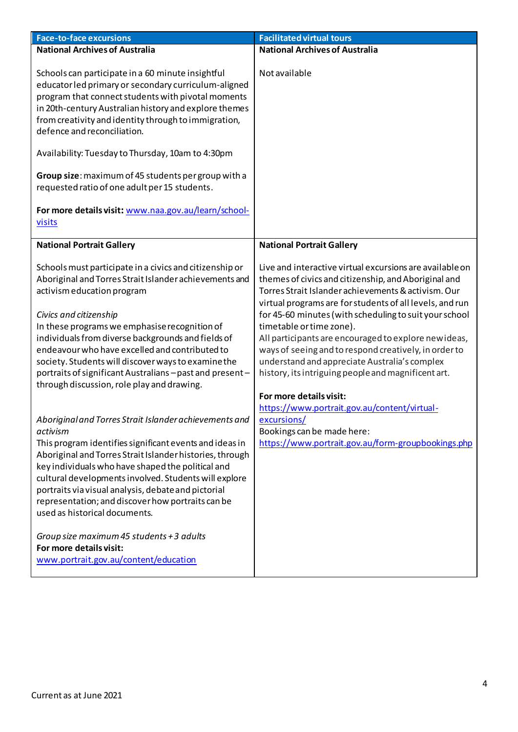| <b>Face-to-face excursions</b>                                                                                                                                                                                                                                                                                                                                                                                                                                                                                                                                        | <b>Facilitated virtual tours</b>                                                                                                                                                                                                                                                                                                                                                                                                                                                                                                                   |
|-----------------------------------------------------------------------------------------------------------------------------------------------------------------------------------------------------------------------------------------------------------------------------------------------------------------------------------------------------------------------------------------------------------------------------------------------------------------------------------------------------------------------------------------------------------------------|----------------------------------------------------------------------------------------------------------------------------------------------------------------------------------------------------------------------------------------------------------------------------------------------------------------------------------------------------------------------------------------------------------------------------------------------------------------------------------------------------------------------------------------------------|
| <b>National Archives of Australia</b>                                                                                                                                                                                                                                                                                                                                                                                                                                                                                                                                 | <b>National Archives of Australia</b>                                                                                                                                                                                                                                                                                                                                                                                                                                                                                                              |
| Schools can participate in a 60 minute insightful<br>educator led primary or secondary curriculum-aligned<br>program that connect students with pivotal moments<br>in 20th-century Australian history and explore themes<br>from creativity and identity through to immigration,<br>defence and reconciliation.<br>Availability: Tuesday to Thursday, 10am to 4:30pm<br>Group size: maximum of 45 students per group with a<br>requested ratio of one adult per 15 students.<br>For more details visit: www.naa.gov.au/learn/school-                                  | Not available                                                                                                                                                                                                                                                                                                                                                                                                                                                                                                                                      |
| visits                                                                                                                                                                                                                                                                                                                                                                                                                                                                                                                                                                |                                                                                                                                                                                                                                                                                                                                                                                                                                                                                                                                                    |
| <b>National Portrait Gallery</b>                                                                                                                                                                                                                                                                                                                                                                                                                                                                                                                                      | <b>National Portrait Gallery</b>                                                                                                                                                                                                                                                                                                                                                                                                                                                                                                                   |
|                                                                                                                                                                                                                                                                                                                                                                                                                                                                                                                                                                       |                                                                                                                                                                                                                                                                                                                                                                                                                                                                                                                                                    |
| Schools must participate in a civics and citizenship or<br>Aboriginal and Torres Strait Islander achievements and<br>activism education program<br>Civics and citizenship<br>In these programs we emphasise recognition of<br>individuals from diverse backgrounds and fields of<br>endeavour who have excelled and contributed to<br>society. Students will discover ways to examine the<br>portraits of significant Australians - past and present -<br>through discussion, role play and drawing.                                                                  | Live and interactive virtual excursions are available on<br>themes of civics and citizenship, and Aboriginal and<br>Torres Strait Islander achievements & activism. Our<br>virtual programs are for students of all levels, and run<br>for 45-60 minutes (with scheduling to suit your school<br>timetable or time zone).<br>All participants are encouraged to explore newideas,<br>ways of seeing and to respond creatively, in order to<br>understand and appreciate Australia's complex<br>history, its intriguing people and magnificent art. |
| Aboriginal and Torres Strait Islander achievements and<br>activism<br>This program identifies significant events and ideas in<br>Aboriginal and Torres Strait Islander histories, through<br>key individuals who have shaped the political and<br>cultural developments involved. Students will explore<br>portraits via visual analysis, debate and pictorial<br>representation; and discover how portraits can be<br>used as historical documents.<br>Group size maximum 45 students + 3 adults<br>For more details visit:<br>www.portrait.gov.au/content/education | For more details visit:<br>https://www.portrait.gov.au/content/virtual-<br>excursions/<br>Bookings can be made here:<br>https://www.portrait.gov.au/form-groupbookings.php                                                                                                                                                                                                                                                                                                                                                                         |